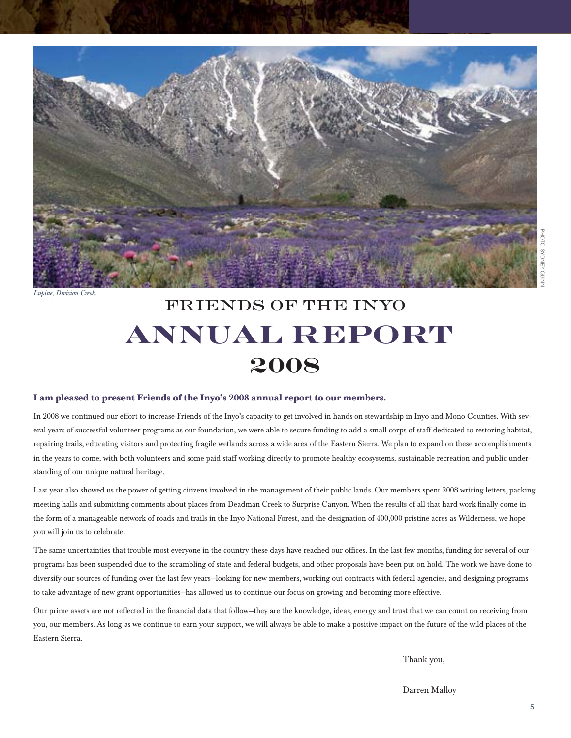

*Lupine, Division Creek.*

## friends of the inyo  **annual report 2008**

#### **I am pleased to present Friends of the Inyo's 2008 annual report to our members.**

In 2008 we continued our effort to increase Friends of the Inyo's capacity to get involved in hands-on stewardship in Inyo and Mono Counties. With several years of successful volunteer programs as our foundation, we were able to secure funding to add a small corps of staff dedicated to restoring habitat, repairing trails, educating visitors and protecting fragile wetlands across a wide area of the Eastern Sierra. We plan to expand on these accomplishments in the years to come, with both volunteers and some paid staff working directly to promote healthy ecosystems, sustainable recreation and public understanding of our unique natural heritage.

Last year also showed us the power of getting citizens involved in the management of their public lands. Our members spent 2008 writing letters, packing meeting halls and submitting comments about places from Deadman Creek to Surprise Canyon. When the results of all that hard work finally come in the form of a manageable network of roads and trails in the Inyo National Forest, and the designation of 400,000 pristine acres as Wilderness, we hope you will join us to celebrate.

The same uncertainties that trouble most everyone in the country these days have reached our offices. In the last few months, funding for several of our programs has been suspended due to the scrambling of state and federal budgets, and other proposals have been put on hold. The work we have done to diversify our sources of funding over the last few years—looking for new members, working out contracts with federal agencies, and designing programs to take advantage of new grant opportunities—has allowed us to continue our focus on growing and becoming more effective.

Our prime assets are not reflected in the financial data that follow—they are the knowledge, ideas, energy and trust that we can count on receiving from you, our members. As long as we continue to earn your support, we will always be able to make a positive impact on the future of the wild places of the Eastern Sierra.

Thank you,

Darren Malloy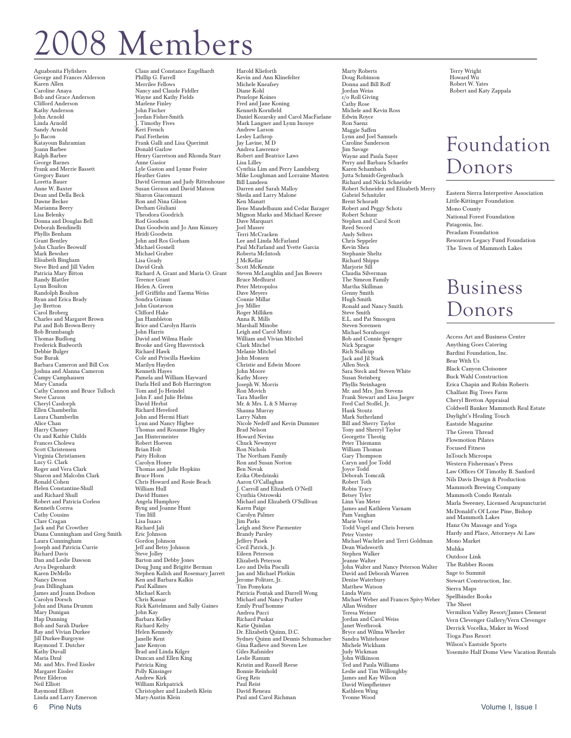## 08 Members

Aguabonita Flyfishers George and Frances Alderson Karen Allen Caroline Anaya Bob and Grace Anderson Clifford Anderson Kathy Anderson John Arnold<br>Linda Arnold Sandy Arnold Jo Bacon Katayoun Bahramian Joann Barbee Ralph Barbee George Barnes Frank and Merrie Bassett Gregory Bauer Loretta Bauer Anne W. Baxter Dean and Della Beck Dawne Becker Marianna Beery Lisa Belenky Donna and Douglas Bell Deborah Bendinelli Phyllis Benham Grant Bentley John Charles Beowulf Mark Bewsher Elisabeth Bingham Steve Bird and Jill Vaden Patricia Mary Bitton Randy Blattler Lynn Boulton Randolph Boulton Ryan and Erica Brady Jay Bretton Carol Broberg Charles and Margaret Brown Pat and Bob Brown-Berry Bob Brumbaugh Thomas Budlong Frederick Budworth Debbie Bulger Sue Burak Barbara Cameron and Bill Cox Joshua and Alanna Cameron Campy Camphausen Mary Canada Cathy Cannon and Bruce Tulloch Steve Carson Cheryl Casdorph Ellen Chamberlin Laura Chamberlin Alice Chan Harry Cheney Oz and Kathie Childs Frances Cholewa Scott Christensen Virginia Christiansen Lucy G. Clark Roger and Vera Clark Sharon and Malcolm Clark Ronald Cohen Helen Constantine-Shull and Richard Shull Robert and Patricia Corless Kenneth Correa Cathy Cousins Clare Cragan<br>Jack and Pat Crowther<br>Diana Cunningham and Greg Smith Laura Cunningham Joseph and Patricia Currie Richard Davis Dan and Leslie Dawson Arya Degenhardt Karen DeMello Nancy Devon Jean Dillingham James and Joann Dodson Carolyn Dorsch John and Diana Drumm Mary Dunigan Hap Dunning Bob and Sarah Durkee Ray and Vivian Durkee Jill Durkee-Burgoyne Raymond T. Dutcher Kathy Duvall Maria Dzul Mr. and Mrs. Fred Eissler Margaret Eissler Peter Elderon Neil Elliott Raymond Elliott Linda and Larry Emerson

Claus and Constance Engelhardt Phillip G. Farrell Merrilee Fellows Nancy and Claude Fiddler Wayne and Kathy Fields Marlene Finley John Fischer Jordan Fisher-Smith J. Timothy Fives Keri French Paul Fretheim Frank Galli and Lisa Querimit Donald Garlow Henry Garretson and Rhonda Starr Anne Gasior Lyle Gaston and Lynne Foster Heather Gates David German and Judy Rittenhouse Susan Gerson and David Matson Sharon Giacomazzi Ron and Nina Gilson Derham Giuliani Theodora Goodrich Rod Goodson Dan Goodwin and Jo Ann Kimzey Heidi Goodwin John and Ros Gorham Michael Gosnell Michael Graber Lisa Grady David Grah Richard A. Grant and Maria O. Grant Terence Grant Helen A. Green Jeff Griffiths and Taema Weiss Sondra Grimm John Gustavson Clifford Hake Jan Hambleton Brice and Carolyn Harris John Harris David and Wilma Hasle Brooke and Greg Haverstock Richard Hawk Cole and Priscilla Hawkins Marilyn Hayden Kenneth Hayes Pamela and William Hayward Darla Heil and Bob Harrington Tom and Jo Heindel John F. and Julie Helms David Herbst Richard Hereford John and Hermi Hiatt Lynn and Nancy Higbee Thomas and Rosanne Higley Indias and Rosal Robert Hoeven Brian Holt Patty Holton Carolyn Honer Thomas and Julie Hopkins Bruce Horn Chris Howard and Rosie Beach William Hull David Humes Angela Humphrey Byng and Joanne Hunt Tim Ifill Lisa Isaacs Richard Jali Eric Johnson Gordon Johnson Jeff and Betsy Johnson Steve Jolley Barton and Debby Jones Doug Jung and Brigitte Berman Stephen Kalish and Rosemary Jarrett Ken and Barbara Kalkis Paul Kallmes Michael Karch Chris Kassar Rick Kattelmann and Sally Gaines John Kay Barbara Kelley Richard Kelty Helen Kennedy Janelle Kent ,<br>Jane Kenvon Brad and Linda Kilger Duncan and Ellen King Patricia King Polly Kinsinger Andrew Kirk William Kirkpatrick Christopher and Lizabeth Klein Mary-Austin Klein

Harold Klieforth Kevin and Ann Klinefelter Michele Kneafsey Diane Kohl Penelope Koines Fred and Jane Koning Kenneth Kornfield Daniel Kozarsky and Carol MacFarlane Mark Langner and Lynn Inouye Andrew Larson Lesley Lathrop Jay Lavine, M D Andrea Lawrence Robert and Beatrice Laws Lisa Lilley Cynthia Lim and Perry Landsberg Mike Loughman and Lorraine Masten Bill Lundeen Darren and Sarah Malloy Sheila and Larry Malone Ken Manatt Ilene Mandelbaum and Cedar Barager Mignon Marks and Michael Keesee Dave Marquart Joel Masser Terri McCracken Lee and Linda McFarland Paul McFarland and Yvette Garcia Roberta McIntosh J McKellar Scott McKenzie Steven McLaughlin and Jan Bowers Bruce Medhurst Peter Metropulos Dave Meyers Connie Millar Joy Miller Roger Milliken Anna R. Mills Marshall Minobe Leigh and Carol Mintz William and Vivian Mitchel Clark Mitchel Melanie Mitchel John Monsen Christie and Edwin Moore John Moore Kathy Morey Joseph W. Morris Ron Movich Tara Mueller Mr. & Mrs. L & S Murray Shauna Murray Larry Nahm Nicole Nedeff and Kevin Dummer Brad Nelson Howard Nevins Chuck Newmyer Ron Nichols The Northam Family Ron and Susan Norton Ben Novak Erika Obedzinski Aaron O'Callaghan<br>J. Carroll and Elizabeth O'Neill<br>Cynthia Ostrowski Michael and Elizabeth O'Sullivan Karen Paige Carolyn Palmer Jim Parks Leigh and Steve Parmenter Brandy Parsley Jeffery Pasek Cecil Patrick, Jr. Eileen Peterson Elizabeth Peterson Leo and Delia Pisculli Jan and Michael Plotkin Jerome Politzer, Jr. Tim Pomykata Patricia Pontak and Darrell Wong Michael and Nancy Prather Emily Prud'homme Andrea Pucci Richard Puskar Katie Quinlan Dr. Elizabeth Quinn, D.C. Sydney Quinn and Dennis Schumacher Gina Radieve and Steven Lee Giles Rafsnider Leslie Ranum Kristin and Russell Reese Bonnie Reinhold Greg Reis Paul Reist David Reneau Paul and Carol Richman

Doug Robinson Donna and Bill Roff Jordan Weiss c/o Roll Giving Cathy Rose Michele and Kevin Ross Edwin Royce Ron Saenz Maggie Saffen Lynn and Joel Samuels Caroline Sanderson Jim Savage Wayne and Paula Sayer Perry and Barbara Schaefer Karen Schambach Jutta Schmidt-Gegenbach Richard and Nicki Schneider Robert Schneider and Elizabeth Merry Gabriel Schnitzler Brent Schoradt Robert and Peggy Schotz Robert Schuur Stephen and Carol Scott Reed Secord Andy Selters Chris Seppeler Kevin Shea Stephanie Sheltz Richard Shipps Marjorie Sill Claudia Silverman The Simeon Family Martha Skillman Genny Smith Hugh Smith Ronald and Nancy Smith Steve Smith E.L. and Pat Smoogen Steven Sorensen Michael Sornborger Bob and Connie Spenger Nick Sprague Rich Stallcup Jack and Jil Stark Allen Steck Sara Steck and Steven White Susan Steinberg Phyllis Steinhagen Mr. and Mrs. Jim Stevens Frank Stewart and Lisa Jaeger Fred Carl Stoffel, Jr. Hank Stoutz Mark Sutherland Bill and Sherry Taylor Tony and Sherryl Taylor Georgette Theotig Peter Thiemann William Thomas Gary Thompson Caryn and Joe Todd Joyce Todd Deborah Tomczik Robert Toth Robin Tracy Betsey Tyler Linn Van Meter James and Kathleen Varnam Pam Vaughan Marie Vester Todd Vogel and Chris Iversen Peter Vorster Michael Wachtler and Terri Goldman Dean Wadsworth Stephen Walker Jeanne Walter John Walter and Nancy Peterson Walter David and Deborah Warren Denise Waterbury Matthew Watson Linda Watts Michael Weber and Frances Spivy-Weber Allan Weidner Teresa Weiner Jordan and Carol Weiss Janet Westbrook Bryce and Wilma Wheeler Sandra Whitehouse Michele Wickham Judy Wickman John Wilkinson Ted and Paula Williams Leslie and Tim Willoughby James and Kay Wilson David Wimpfheimer Kathleen Wing

Yvonne Wood

Marty Roberts

Terry Wright Howard Wu Robert W. Yates Robert and Katy Zappala

### Foundation Donors

Eastern Sierra Interpretive Association Little-Kittinger Foundation Mono County National Forest Foundation Patagonia, Inc. Peradam Foundation Resources Legacy Fund Foundation The Town of Mammoth Lakes

## Business Donors

Access Art and Business Center Anything Goes Catering Bardini Foundation, Inc. Bear With Us Black Canyon Cloisonee Buck Wahl Construction Erica Chapin and Robin Roberts Chalfant Big Trees Farm Cheryl Bretton Appraisal Coldwell Banker Mammoth Real Estate Daylight's Healing Touch Eastside Magazine The Green Thread Flowmotion Pilates Focused Fitness InTouch Microspa Western Fisherman's Press Law Offices Of Timothy B. Sanford Nils Davis Design & Production Mammoth Brewing Company Mammoth Condo Rentals Marla Sweeney, Licensed Acupuncturist McDonald's Of Lone Pine, Bishop and Mammoth Lakes Hanz On Massage and Yoga Hardy and Place, Attorneys At Law Mono Market Muhka Outdoor Link The Rubber Room Sage to Summit Stewart Construction, Inc. Sierra Maps Spellbinder Books The Sheet Vermilion Valley Resort/James Clement Vern Clevenger Gallery/Vern Clevenger Derrick Vocelka, Maker in Wood Tioga Pass Resort Wilson's Eastside Sports Yosemite Half Dome View Vacation Rentals